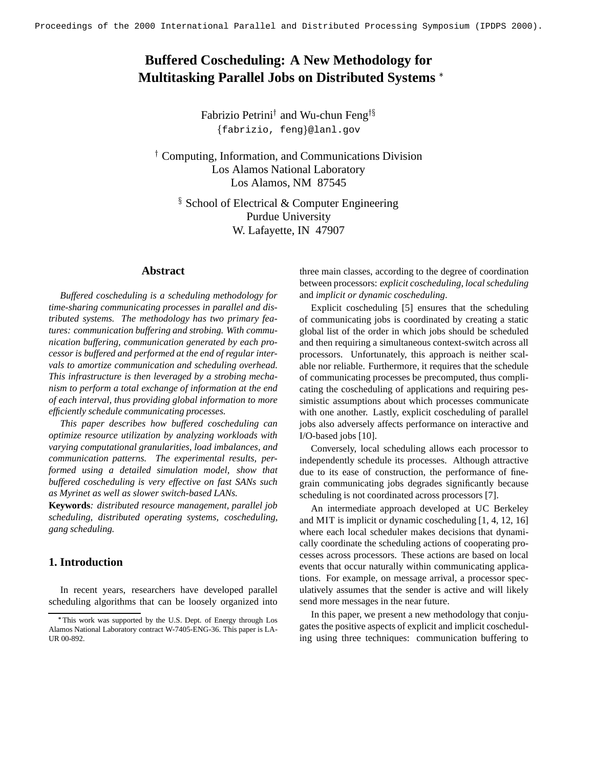# **Buffered Coscheduling: A New Methodology for Multitasking Parallel Jobs on Distributed Systems**

Fabrizio Petrini<sup>†</sup> and Wu-chun Feng<sup>†</sup> fabrizio, feng @lanl.gov

 Computing, Information, and Communications Division Los Alamos National Laboratory Los Alamos, NM 87545

**School of Electrical & Computer Engineering** Purdue University W. Lafayette, IN 47907

# **Abstract**

*Buffered coscheduling is a scheduling methodology for time-sharing communicating processes in parallel and distributed systems. The methodology has two primary features: communication buffering and strobing. With communication buffering, communication generated by each processor is buffered and performed at the end of regular intervals to amortize communication and scheduling overhead. This infrastructure is then leveraged by a strobing mechanism to perform a total exchange of information at the end of each interval, thus providing global information to more efficiently schedule communicating processes.*

*This paper describes how buffered coscheduling can optimize resource utilization by analyzing workloads with varying computational granularities, load imbalances, and communication patterns. The experimental results, performed using a detailed simulation model, show that buffered coscheduling is very effective on fast SANs such as Myrinet as well as slower switch-based LANs.*

**Keywords***: distributed resource management, parallel job scheduling, distributed operating systems, coscheduling, gang scheduling.*

# **1. Introduction**

In recent years, researchers have developed parallel scheduling algorithms that can be loosely organized into

three main classes, according to the degree of coordination between processors: *explicit coscheduling*, *local scheduling* and *implicit or dynamic coscheduling*.

Explicit coscheduling [5] ensures that the scheduling of communicating jobs is coordinated by creating a static global list of the order in which jobs should be scheduled and then requiring a simultaneous context-switch across all processors. Unfortunately, this approach is neither scalable nor reliable. Furthermore, it requires that the schedule of communicating processes be precomputed, thus complicating the coscheduling of applications and requiring pessimistic assumptions about which processes communicate with one another. Lastly, explicit coscheduling of parallel jobs also adversely affects performance on interactive and I/O-based jobs [10].

Conversely, local scheduling allows each processor to independently schedule its processes. Although attractive due to its ease of construction, the performance of finegrain communicating jobs degrades significantly because scheduling is not coordinated across processors [7].

An intermediate approach developed at UC Berkeley and MIT is implicit or dynamic coscheduling [1, 4, 12, 16] where each local scheduler makes decisions that dynamically coordinate the scheduling actions of cooperating processes across processors. These actions are based on local events that occur naturally within communicating applications. For example, on message arrival, a processor speculatively assumes that the sender is active and will likely send more messages in the near future.

In this paper, we present a new methodology that conjugates the positive aspects of explicit and implicit coscheduling using three techniques: communication buffering to

This work was supported by the U.S. Dept. of Energy through Los Alamos National Laboratory contract W-7405-ENG-36. This paper is LA-UR 00-892.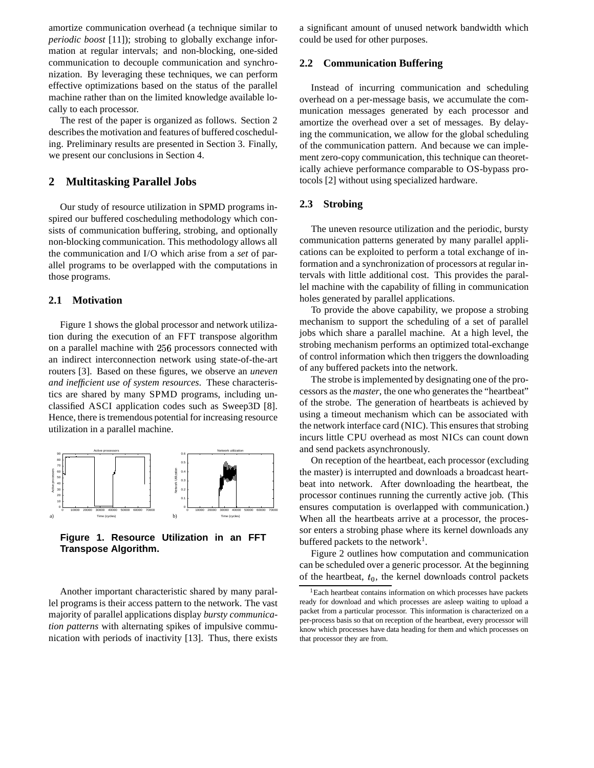amortize communication overhead (a technique similar to *periodic boost* [11]); strobing to globally exchange information at regular intervals; and non-blocking, one-sided communication to decouple communication and synchronization. By leveraging these techniques, we can perform effective optimizations based on the status of the parallel machine rather than on the limited knowledge available locally to each processor.

The rest of the paper is organized as follows. Section 2 describes the motivation and features of buffered coscheduling. Preliminary results are presented in Section 3. Finally, we present our conclusions in Section 4.

# **2 Multitasking Parallel Jobs**

Our study of resource utilization in SPMD programs inspired our buffered coscheduling methodology which consists of communication buffering, strobing, and optionally non-blocking communication. This methodology allows all the communication and I/O which arise from a *set* of parallel programs to be overlapped with the computations in those programs.

#### **2.1 Motivation**

Figure 1 shows the global processor and network utilization during the execution of an FFT transpose algorithm on a parallel machine with 256 processors connected with an indirect interconnection network using state-of-the-art routers [3]. Based on these figures, we observe an *uneven and inefficient use of system resources*. These characteristics are shared by many SPMD programs, including unclassified ASCI application codes such as Sweep3D [8]. Hence, there is tremendous potential for increasing resource utilization in a parallel machine.



**Figure 1. Resource Utilization in an FFT Transpose Algorithm.**

Another important characteristic shared by many parallel programs is their access pattern to the network. The vast majority of parallel applications display *bursty communication patterns* with alternating spikes of impulsive communication with periods of inactivity [13]. Thus, there exists a significant amount of unused network bandwidth which could be used for other purposes.

#### **2.2 Communication Buffering**

Instead of incurring communication and scheduling overhead on a per-message basis, we accumulate the communication messages generated by each processor and amortize the overhead over a set of messages. By delaying the communication, we allow for the global scheduling of the communication pattern. And because we can implement zero-copy communication, this technique can theoretically achieve performance comparable to OS-bypass protocols [2] without using specialized hardware.

## **2.3 Strobing**

The uneven resource utilization and the periodic, bursty communication patterns generated by many parallel applications can be exploited to perform a total exchange of information and a synchronization of processors at regular intervals with little additional cost. This provides the parallel machine with the capability of filling in communication holes generated by parallel applications.

To provide the above capability, we propose a strobing mechanism to support the scheduling of a set of parallel jobs which share a parallel machine. At a high level, the strobing mechanism performs an optimized total-exchange of control information which then triggers the downloading of any buffered packets into the network.

The strobe is implemented by designating one of the processors as the *master*, the one who generates the "heartbeat" of the strobe. The generation of heartbeats is achieved by using a timeout mechanism which can be associated with the network interface card (NIC). This ensures that strobing incurs little CPU overhead as most NICs can count down and send packets asynchronously.

On reception of the heartbeat, each processor (excluding the master) is interrupted and downloads a broadcast heartbeat into network. After downloading the heartbeat, the processor continues running the currently active job. (This ensures computation is overlapped with communication.) When all the heartbeats arrive at a processor, the processor enters a strobing phase where its kernel downloads any buffered packets to the network<sup>1</sup>.

Figure 2 outlines how computation and communication can be scheduled over a generic processor. At the beginning of the heartbeat,  $t_0$ , the kernel downloads control packets

 ${}^{1}$ Each heartbeat contains information on which processes have packets ready for download and which processes are asleep waiting to upload a packet from a particular processor. This information is characterized on a per-process basis so that on reception of the heartbeat, every processor will know which processes have data heading for them and which processes on that processor they are from.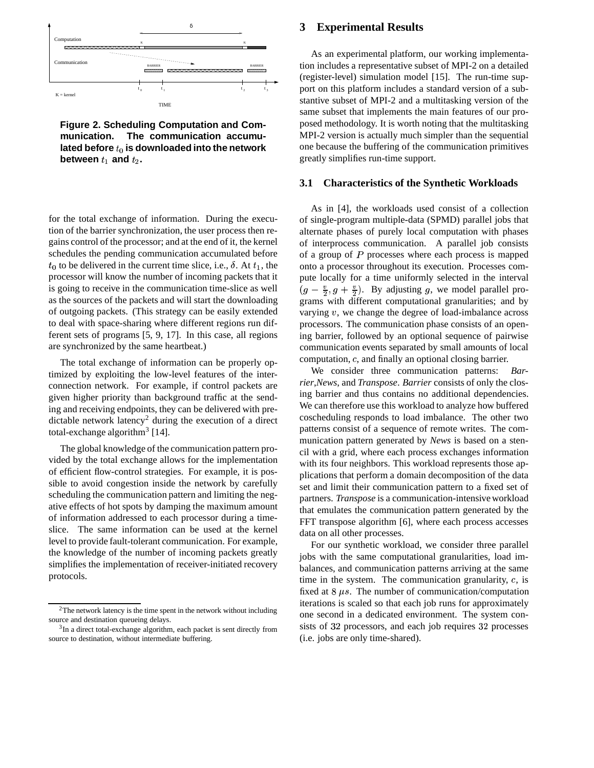

**Figure 2. Scheduling Computation and Communication. The communication accumulated before is downloaded into the network** between  $t_1$  and  $t_2$ .

for the total exchange of information. During the execution of the barrier synchronization, the user process then regains control of the processor; and at the end of it, the kernel schedules the pending communication accumulated before  $t_0$  to be delivered in the current time slice, i.e.,  $\delta$ . At  $t_1$ , the processor will know the number of incoming packets that it is going to receive in the communication time-slice as well as the sources of the packets and will start the downloading of outgoing packets. (This strategy can be easily extended to deal with space-sharing where different regions run different sets of programs [5, 9, 17]. In this case, all regions are synchronized by the same heartbeat.)

The total exchange of information can be properly optimized by exploiting the low-level features of the interconnection network. For example, if control packets are given higher priority than background traffic at the sending and receiving endpoints, they can be delivered with predictable network latency <sup>2</sup> during the execution of a direct total-exchange algorithm<sup>3</sup> [14].

The global knowledge of the communication pattern provided by the total exchange allows for the implementation of efficient flow-control strategies. For example, it is possible to avoid congestion inside the network by carefully scheduling the communication pattern and limiting the negative effects of hot spots by damping the maximum amount of information addressed to each processor during a timeslice. The same information can be used at the kernel level to provide fault-tolerant communication. For example, the knowledge of the number of incoming packets greatly simplifies the implementation of receiver-initiated recovery protocols.

# **3 Experimental Results**

As an experimental platform, our working implementation includes a representative subset of MPI-2 on a detailed (register-level) simulation model [15]. The run-time support on this platform includes a standard version of a substantive subset of MPI-2 and a multitasking version of the same subset that implements the main features of our proposed methodology. It is worth noting that the multitasking MPI-2 version is actually much simpler than the sequential one because the buffering of the communication primitives greatly simplifies run-time support.

## **3.1 Characteristics of the Synthetic Workloads**

As in [4], the workloads used consist of a collection of single-program multiple-data (SPMD) parallel jobs that alternate phases of purely local computation with phases of interprocess communication. A parallel job consists of a group of  $P$  processes where each process is mapped onto a processor throughout its execution. Processes compute locally for a time uniformly selected in the interval  $(g - \frac{v}{2}, g + \frac{v}{2})$ . By adjusting g, we model parallel programs with different computational granularities; and by varying  $v$ , we change the degree of load-imbalance across processors. The communication phase consists of an opening barrier, followed by an optional sequence of pairwise communication events separated by small amounts of local computation,  $c$ , and finally an optional closing barrier.

We consider three communication patterns: *Barrier*,*News*, and *Transpose*. *Barrier* consists of only the closing barrier and thus contains no additional dependencies. We can therefore use this workload to analyze how buffered coscheduling responds to load imbalance. The other two patterns consist of a sequence of remote writes. The communication pattern generated by *News* is based on a stencil with a grid, where each process exchanges information with its four neighbors. This workload represents those applications that perform a domain decomposition of the data set and limit their communication pattern to a fixed set of partners. *Transpose* is a communication-intensive workload that emulates the communication pattern generated by the FFT transpose algorithm [6], where each process accesses data on all other processes.

For our synthetic workload, we consider three parallel jobs with the same computational granularities, load imbalances, and communication patterns arriving at the same time in the system. The communication granularity,  $c$ , is fixed at  $8 \mu s$ . The number of communication/computation iterations is scaled so that each job runs for approximately one second in a dedicated environment. The system consists of 32 processors, and each job requires 32 processes (i.e. jobs are only time-shared).

<sup>&</sup>lt;sup>2</sup>The network latency is the time spent in the network without including source and destination queueing delays.

<sup>&</sup>lt;sup>3</sup>In a direct total-exchange algorithm, each packet is sent directly from source to destination, without intermediate buffering.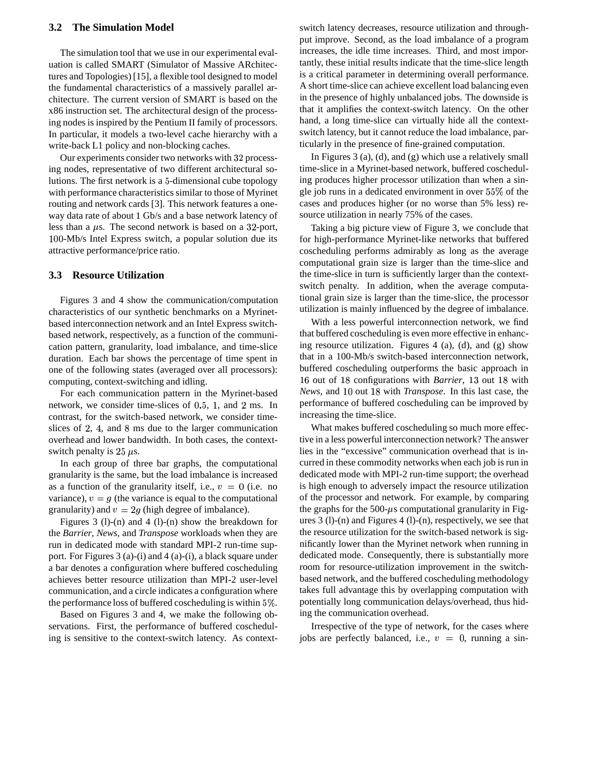## **3.2 The Simulation Model**

The simulation tool that we use in our experimental evaluation is called SMART (Simulator of Massive ARchitectures and Topologies) [15], a flexible tool designed to model the fundamental characteristics of a massively parallel architecture. The current version of SMART is based on the x86 instruction set. The architectural design of the processing nodes is inspired by the Pentium II family of processors. In particular, it models a two-level cache hierarchy with a write-back L1 policy and non-blocking caches.

Our experiments consider two networks with 32 processing nodes, representative of two different architectural solutions. The first network is a 5-dimensional cube topology with performance characteristics similar to those of Myrinet routing and network cards [3]. This network features a oneway data rate of about 1 Gb/s and a base network latency of less than a  $\mu$ s. The second network is based on a 32-port, 100-Mb/s Intel Express switch, a popular solution due its attractive performance/price ratio.

## **3.3 Resource Utilization**

Figures 3 and 4 show the communication/computation characteristics of our synthetic benchmarks on a Myrinetbased interconnection network and an Intel Express switchbased network, respectively, as a function of the communication pattern, granularity, load imbalance, and time-slice duration. Each bar shows the percentage of time spent in one of the following states (averaged over all processors): computing, context-switching and idling.

For each communication pattern in the Myrinet-based network, we consider time-slices of  $0.5$ , 1, and 2 ms. In contrast, for the switch-based network, we consider timeslices of  $2$ ,  $4$ , and  $8$  ms due to the larger communication overhead and lower bandwidth. In both cases, the contextswitch penalty is 25  $\mu$ s.

In each group of three bar graphs, the computational granularity is the same, but the load imbalance is increased as a function of the granularity itself, i.e.,  $v = 0$  (i.e. no variance),  $v = g$  (the variance is equal to the computational granularity) and  $v = 2g$  (high degree of imbalance).

Figures 3 (1)-(n) and 4 (1)-(n) show the breakdown for the *Barrier*, *News*, and *Transpose* workloads when they are run in dedicated mode with standard MPI-2 run-time support. For Figures 3 (a)-(i) and 4 (a)-(i), a black square under a bar denotes a configuration where buffered coscheduling achieves better resource utilization than MPI-2 user-level communication, and a circle indicates a configuration where the performance loss of buffered coscheduling is within  $5\%$ .

Based on Figures 3 and 4, we make the following observations. First, the performance of buffered coscheduling is sensitive to the context-switch latency. As contextswitch latency decreases, resource utilization and throughput improve. Second, as the load imbalance of a program increases, the idle time increases. Third, and most importantly, these initial results indicate that the time-slice length is a critical parameter in determining overall performance. A short time-slice can achieve excellent load balancing even in the presence of highly unbalanced jobs. The downside is that it amplifies the context-switch latency. On the other hand, a long time-slice can virtually hide all the contextswitch latency, but it cannot reduce the load imbalance, particularly in the presence of fine-grained computation.

In Figures 3 (a), (d), and (g) which use a relatively small time-slice in a Myrinet-based network, buffered coscheduling produces higher processor utilization than when a single job runs in a dedicated environment in over  $55\%$  of the cases and produces higher (or no worse than 5% less) resource utilization in nearly 75% of the cases.

Taking a big picture view of Figure 3, we conclude that for high-performance Myrinet-like networks that buffered coscheduling performs admirably as long as the average computational grain size is larger than the time-slice and the time-slice in turn is sufficiently larger than the contextswitch penalty. In addition, when the average computational grain size is larger than the time-slice, the processor utilization is mainly influenced by the degree of imbalance.

With a less powerful interconnection network, we find that buffered coscheduling is even more effective in enhancing resource utilization. Figures  $4$  (a), (d), and (g) show that in a 100-Mb/s switch-based interconnection network, buffered coscheduling outperforms the basic approach in 16 out of 18 configurations with *Barrier*, 13 out 18 with News, and 10 out 18 with *Transpose*. In this last case, the performance of buffered coscheduling can be improved by increasing the time-slice.

What makes buffered coscheduling so much more effective in a less powerful interconnection network? The answer lies in the "excessive" communication overhead that is incurred in these commodity networks when each job is run in dedicated mode with MPI-2 run-time support; the overhead is high enough to adversely impact the resource utilization of the processor and network. For example, by comparing the graphs for the 500- $\mu$ s computational granularity in Figures 3 (l)-(n) and Figures 4 (l)-(n), respectively, we see that the resource utilization for the switch-based network is significantly lower than the Myrinet network when running in dedicated mode. Consequently, there is substantially more room for resource-utilization improvement in the switchbased network, and the buffered coscheduling methodology takes full advantage this by overlapping computation with potentially long communication delays/overhead, thus hiding the communication overhead.

Irrespective of the type of network, for the cases where jobs are perfectly balanced, i.e.,  $v = 0$ , running a sin-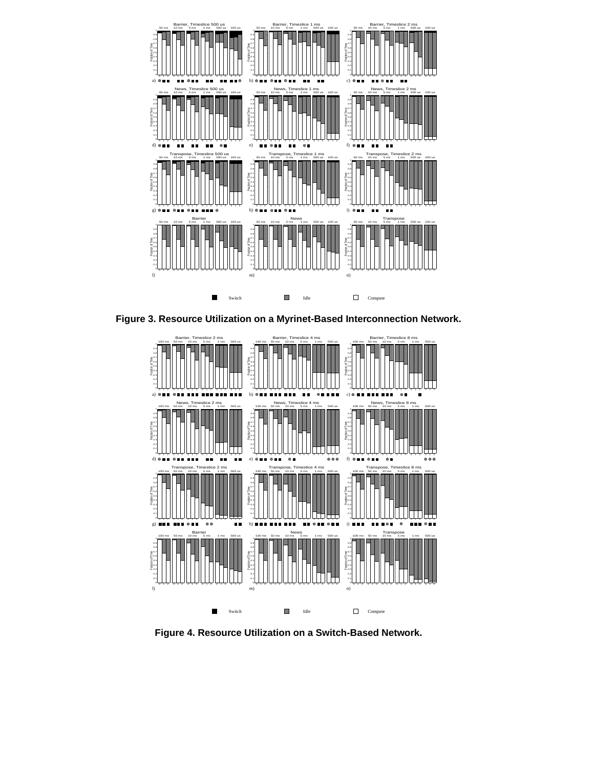

**Figure 3. Resource Utilization on a Myrinet-Based Interconnection Network.**



**Figure 4. Resource Utilization on a Switch-Based Network.**